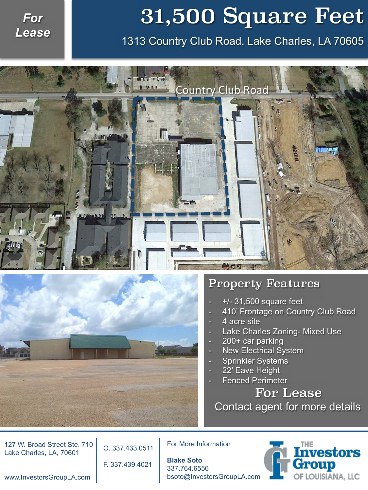## *For Lease*

## 31,500 Square Feet

1313 Country Club Road, Lake Charles, LA 70605





## Property Features

- $+/-$  31,500 square feet
- 410' Frontage on Country Club Road
- 4 acre site
- Lake Charles Zoning- Mixed Use
- 200+ car parking
- New Electrical System
- Sprinkler Systems
- 22' Eave Height
- **Fenced Perimeter**

 For Lease Contact agent for more details

127 W. Broad Street Ste. 710 Lake Charles, LA, 70601

O. 337.433.0511

F. 337.439.4021

For More Information

**Blake Soto**  337.764.6556 bsoto@InvestorsGroupLA.com



www.InvestorsGroupLA.com